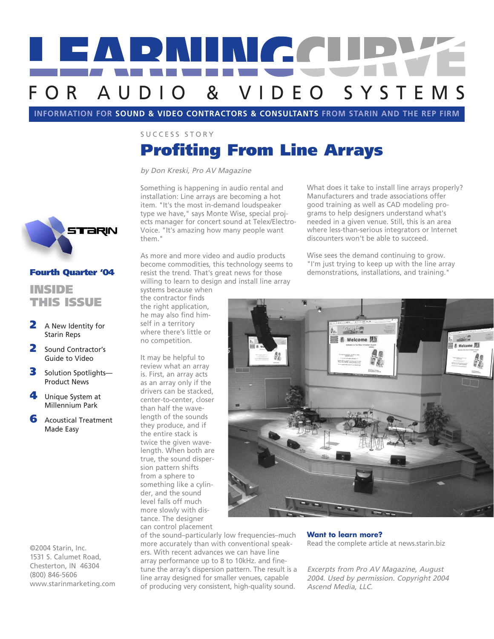

**INFORMATION FOR SOUND & VIDEO CONTRACTORS & CONSULTANTS FROM STARIN AND THE REP FIRM** 

SUCCESS STORY

# Profiting From Line Arrays

by Don Kreski, Pro AV Magazine

Something is happening in audio rental and installation: Line arrays are becoming a hot item. "It's the most in-demand loudspeaker type we have," says Monte Wise, special projects manager for concert sound at Telex/Electro-Voice. "It's amazing how many people want them."

As more and more video and audio products become commodities, this technology seems to resist the trend. That's great news for those willing to learn to design and install line array

systems because when the contractor finds the right application, he may also find himself in a territory where there's little or no competition.

It may be helpful to review what an array is. First, an array acts as an array only if the drivers can be stacked, center-to-center, closer than half the wavelength of the sounds they produce, and if the entire stack is twice the given wavelength. When both are true, the sound dispersion pattern shifts from a sphere to something like a cylinder, and the sound level falls off much more slowly with distance. The designer can control placement

What does it take to install line arrays properly? Manufacturers and trade associations offer good training as well as CAD modeling programs to help designers understand what's needed in a given venue. Still, this is an area where less-than-serious integrators or Internet discounters won't be able to succeed.

Wise sees the demand continuing to grow. "I'm just trying to keep up with the line array demonstrations, installations, and training."



of the sound–particularly low frequencies–much more accurately than with conventional speakers. With recent advances we can have line array performance up to 8 to 10kHz. and finetune the array's dispersion pattern. The result is a line array designed for smaller venues, capable of producing very consistent, high-quality sound.

**Want to learn more?** Read the complete article at news.starin.biz

Excerpts from Pro AV Magazine, August 2004. Used by permission. Copyright 2004 Ascend Media, LLC.



# Fourth Quarter '04

## INSIDE THIS ISSUE

- 2 A New Identity for Starin Reps
- 2 Sound Contractor's Guide to Video
- 3 Solution Spotlights-Product News
- 4 Unique System at Millennium Park
- **6** Acoustical Treatment Made Easy

©2004 Starin, Inc. 1531 S. Calumet Road, Chesterton, IN 46304 (800) 846-5606 www.starinmarketing.com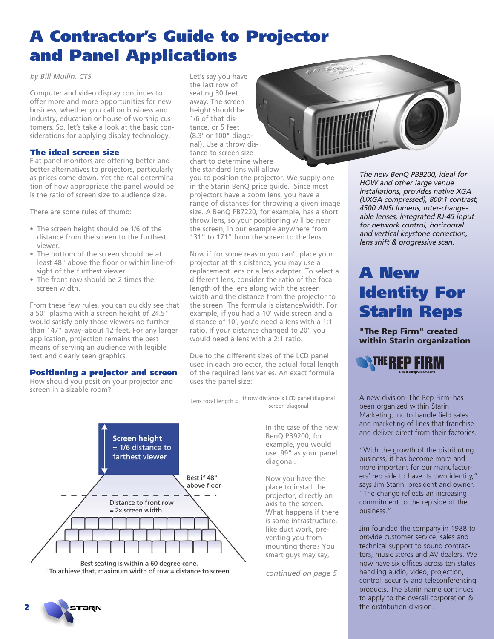# A Contractor's Guide to Projector and Panel Applications

by Bill Mullin, CTS

Computer and video display continues to offer more and more opportunities for new business, whether you call on business and industry, education or house of worship customers. So, let's take a look at the basic considerations for applying display technology.

### The ideal screen size

Flat panel monitors are offering better and better alternatives to projectors, particularly as prices come down. Yet the real determination of how appropriate the panel would be is the ratio of screen size to audience size.

There are some rules of thumb:

- The screen height should be 1/6 of the distance from the screen to the furthest viewer.
- The bottom of the screen should be at least 48" above the floor or within line-ofsight of the furthest viewer.
- The front row should be 2 times the screen width.

From these few rules, you can quickly see that a 50" plasma with a screen height of 24.5" would satisfy only those viewers no further than 147" away–about 12 feet. For any larger application, projection remains the best means of serving an audience with legible text and clearly seen graphics.

### Positioning a projector and screen

How should you position your projector and screen in a sizable room?



you to position the projector. We supply one in the Starin BenQ price guide. Since most projectors have a zoom lens, you have a range of distances for throwing a given image size. A BenQ PB7220, for example, has a short throw lens, so your positioning will be near the screen, in our example anywhere from 131" to 171" from the screen to the lens.

Now if for some reason you can't place your projector at this distance, you may use a replacement lens or a lens adapter. To select a different lens, consider the ratio of the focal length of the lens along with the screen width and the distance from the projector to the screen. The formula is distance/width. For example, if you had a 10' wide screen and a distance of 10', you'd need a lens with a 1:1 ratio. If your distance changed to 20', you would need a lens with a 2:1 ratio.

Due to the different sizes of the LCD panel used in each projector, the actual focal length of the required lens varies. An exact formula uses the panel size:

Lens focal length =  $\frac{\text{throw distance x LCD panel diagonal}}{}$ screen diagonal



To achieve that, maximum width of row = distance to screen

In the case of the new BenQ PB9200, for example, you would use .99" as your panel diagonal.

Now you have the place to install the projector, directly on axis to the screen. What happens if there is some infrastructure, like duct work, preventing you from mounting there? You smart guys may say,

continued on page 5

The new BenQ PB9200, ideal for HOW and other large venue installations, provides native XGA (UXGA compressed), 800:1 contrast, 4500 ANSI lumens, inter-changeable lenses, integrated RJ-45 input for network control, horizontal and vertical keystone correction, lens shift & progressive scan.

# A New Identity For Starin Reps

**"The Rep Firm" created within Starin organization**



A new division–The Rep Firm–has been organized within Starin Marketing, Inc.to handle field sales and marketing of lines that franchise and deliver direct from their factories.

"With the growth of the distributing business, it has become more and more important for our manufacturers' rep side to have its own identity," says Jim Starin, president and owner. "The change reflects an increasing commitment to the rep side of the business."

Jim founded the company in 1988 to provide customer service, sales and technical support to sound contractors, music stores and AV dealers. We now have six offices across ten states handling audio, video, projection, control, security and teleconferencing products. The Starin name continues to apply to the overall corporation & the distribution division.

**rari**n

2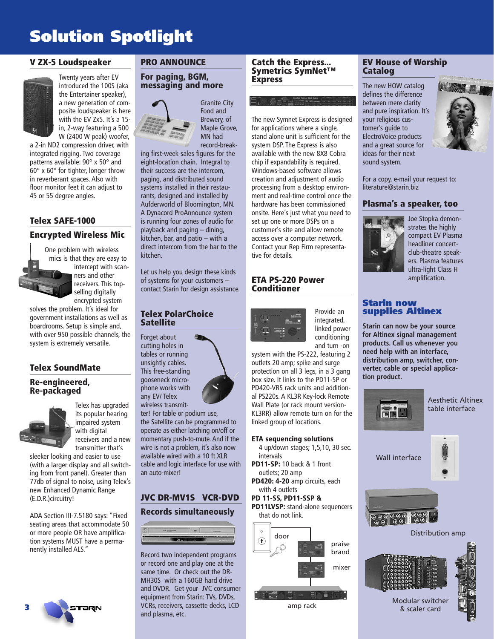# Solution Spotlight

### **V ZX-5 Loudspeaker**



a 2-in ND2 compression driver, with integrated rigging. Two coverage patterns available: 90° x 50° and  $60^\circ$  x  $60^\circ$  for tighter, longer throw in reverberant spaces. Also with floor monitor feet it can adjust to 45 or 55 degree angles.

### **Telex SAFE-1000**

### **Encrypted Wireless Mic**

One problem with wireless mics is that they are easy to intercept with scanners and other receivers. This topselling digitally encrypted system

solves the problem. It's ideal for government installations as well as boardrooms. Setup is simple and, with over 950 possible channels, the system is extremely versatile.

### **Telex SoundMate**

### **Re-engineered, Re-packaged**



Telex has upgraded its popular hearing impaired system with digital receivers and a new transmitter that's

sleeker looking and easier to use (with a larger display and all switching from front panel). Greater than 77db of signal to noise, using Telex's new Enhanced Dynamic Range (E.D.R.)circuitry!

ADA Section III-7.5180 says: "Fixed seating areas that accommodate 50 or more people OR have amplification systems MUST have a permanently installed ALS."



### **PRO ANNOUNCE**

#### **For paging, BGM, messaging and more**



Granite City Food and Brewery, of Maple Grove, MN had record-break-

ing first-week sales figures for the eight-location chain. Integral to their success are the intercom, paging, and distributed sound systems installed in their restaurants, designed and installed by Aufderworld of Bloomington, MN. A Dynacord ProAnnounce system is running four zones of audio for playback and paging – dining, kitchen, bar, and patio – with a direct intercom from the bar to the kitchen.

Let us help you design these kinds of systems for your customers – contact Starin for design assistance.

### **Telex PolarChoice Satellite**

Forget about cutting holes in tables or running unsightly cables. This free-standing gooseneck microphone works with any EV/ Telex wireless transmit-

ter! For table or podium use, the Satellite can be programmed to operate as either latching on/off or momentary push-to-mute. And if the wire is not a problem, it's also now available wired with a 10 ft XLR cable and logic interface for use with an auto-mixer!

### **JVC DR-MV1S VCR-DVD**

#### **Records simultaneously**



Record two independent programs or record one and play one at the same time. Or check out the DR-MH30S with a 160GB hard drive and DVDR. Get your JVC consumer equipment from Starin: TVs, DVDs, VCRs, receivers, cassette decks, LCD and plasma, etc.

#### **Catch the Express... Symetrics SymNet™ Express**

The new Symnet Express is designed for applications where a single, stand alone unit is sufficient for the system DSP. The Express is also available with the new 8X8 Cobra chip if expandability is required. Windows-based software allows creation and adjustment of audio processing from a desktop environment and real-time control once the hardware has been commissioned onsite. Here's just what you need to set up one or more DSPs on a customer's site and allow remote access over a computer network. Contact your Rep Firm representative for details.

### **ETA PS-220 Power Conditioner**



Provide an integrated, linked power conditioning and turn -on

system with the PS-222, featuring 2 outlets 20 amp; spike and surge protection on all 3 legs, in a 3 gang box size. It links to the PD11-SP or PD420-VRS rack units and additional PS220s. A KL3R Key-lock Remote Wall Plate (or rack mount version-KL3RR) allow remote turn on for the linked group of locations.

#### **ETA sequencing solutions**

4 up/down stages; 1,5,10, 30 sec. intervals **PD11-SP:** 10 back & 1 front

outlets; 20 amp **PD420: 4-20** amp circuits, each with 4 outlets

### **PD 11-SS, PD11-SSP &**

**PD11LVSP:** stand-alone sequencers that do not link.



### **EV House of Worship Catalog**

The new HOW catalog defines the difference between mere clarity and pure inspiration. It's your religious customer's guide to ElectroVoice products and a great source for ideas for their next sound system.



For a copy, e-mail your request to: literature@starin.biz

### **Plasma's a speaker, too**



Joe Stopka demonstrates the highly compact EV Plasma headliner concertclub-theatre speakers. Plasma features ultra-light Class H amplification.

### Starin now supplies Altinex

**Starin can now be your source for Altinex signal management products. Call us whenever you need help with an interface, distribution amp, switcher, converter, cable or special application product.**







Distribution amp





Modular switcher & scaler card



**rari**n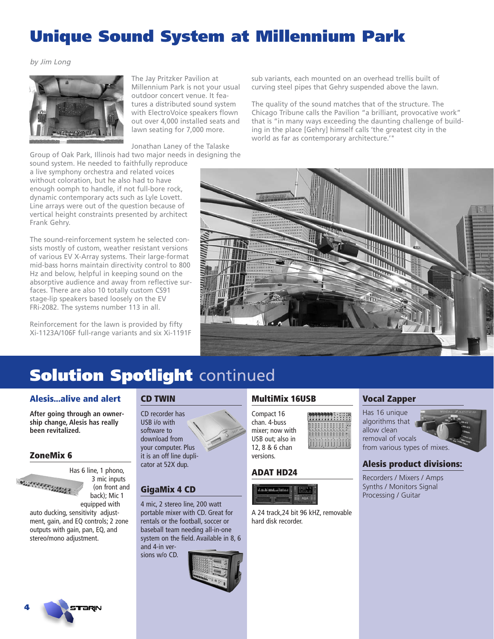# Unique Sound System at Millennium Park

by Jim Long



The Jay Pritzker Pavilion at Millennium Park is not your usual outdoor concert venue. It features a distributed sound system with ElectroVoice speakers flown out over 4,000 installed seats and lawn seating for 7,000 more.

Jonathan Laney of the Talaske

Group of Oak Park, Illinois had two major needs in designing the sound system. He needed to faithfully reproduce a live symphony orchestra and related voices

without coloration, but he also had to have enough oomph to handle, if not full-bore rock, dynamic contemporary acts such as Lyle Lovett. Line arrays were out of the question because of vertical height constraints presented by architect Frank Gehry.

The sound-reinforcement system he selected consists mostly of custom, weather resistant versions of various EV X-Array systems. Their large-format mid-bass horns maintain directivity control to 800 Hz and below, helpful in keeping sound on the absorptive audience and away from reflective surfaces. There are also 10 totally custom CS91 stage-lip speakers based loosely on the EV FRi-2082. The systems number 113 in all.

Reinforcement for the lawn is provided by fifty Xi-1123A/106F full-range variants and six Xi-1191F sub variants, each mounted on an overhead trellis built of curving steel pipes that Gehry suspended above the lawn.

The quality of the sound matches that of the structure. The Chicago Tribune calls the Pavilion "a brilliant, provocative work" that is "in many ways exceeding the daunting challenge of building in the place [Gehry] himself calls 'the greatest city in the world as far as contemporary architecture.'"



# **Solution Spotlight continued**

### **Alesis...alive and alert**

**After going through an ownership change, Alesis has really been revitalized.**

### **ZoneMix 6**



3 mic inputs (on front and back); Mic 1

equipped with auto ducking, sensitivity adjustment, gain, and EQ controls; 2 zone outputs with gain, pan, EQ, and stereo/mono adjustment.

### **CD TWIN**

CD recorder has USB i/o with software to download from your computer. Plus it is an off line duplicator at 52X dup.

### **GigaMix 4 CD**

4 mic, 2 stereo line, 200 watt portable mixer with CD. Great for rentals or the football, soccer or baseball team needing all-in-one system on the field. Available in 8, 6 and 4-in versions w/o CD.



### **MultiMix 16USB**

Compact 16 chan. 4-buss mixer; now with USB out; also in 12, 8 & 6 chan versions.

### **ADAT HD24**



A 24 track,24 bit 96 kHZ, removable hard disk recorder.

### **Vocal Zapper**

Has 16 unique algorithms that allow clean removal of vocals from various types of mixes.

### **Alesis product divisions:**

Recorders / Mixers / Amps Synths / Monitors Signal Processing / Guitar



4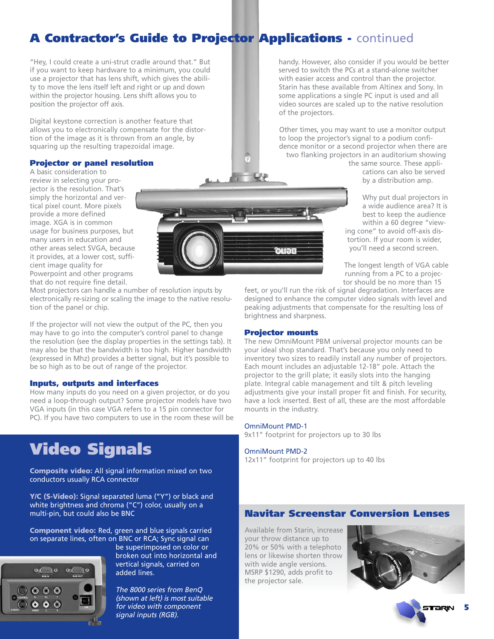# A Contractor's Guide to Projector Applications - continued

"Hey, I could create a uni-strut cradle around that." But if you want to keep hardware to a minimum, you could use a projector that has lens shift, which gives the ability to move the lens itself left and right or up and down within the projector housing. Lens shift allows you to position the projector off axis.

Digital keystone correction is another feature that allows you to electronically compensate for the distortion of the image as it is thrown from an angle, by squaring up the resulting trapezoidal image.

### Projector or panel resolution

A basic consideration to review in selecting your projector is the resolution. That's simply the horizontal and vertical pixel count. More pixels provide a more defined image. XGA is in common usage for business purposes, but many users in education and other areas select SVGA, because it provides, at a lower cost, sufficient image quality for Powerpoint and other programs that do not require fine detail.

Most projectors can handle a number of resolution inputs by electronically re-sizing or scaling the image to the native resolution of the panel or chip.

If the projector will not view the output of the PC, then you may have to go into the computer's control panel to change the resolution (see the display properties in the settings tab). It may also be that the bandwidth is too high. Higher bandwidth (expressed in Mhz) provides a better signal, but it's possible to be so high as to be out of range of the projector.

#### Inputs, outputs and interfaces

How many inputs do you need on a given projector, or do you need a loop-through output? Some projector models have two VGA inputs (in this case VGA refers to a 15 pin connector for PC). If you have two computers to use in the room these will be

# Video Signals

**Composite video:** All signal information mixed on two conductors usually RCA connector

**Y/C (S-Video):** Signal separated luma ("Y") or black and white brightness and chroma ("C") color, usually on a multi-pin, but could also be BNC

**Component video:** Red, green and blue signals carried on separate lines, often on BNC or RCA; Sync signal can



be superimposed on color or broken out into horizontal and vertical signals, carried on added lines.

The 8000 series from BenQ (shown at left) is most suitable for video with component signal inputs (RGB).

handy. However, also consider if you would be better served to switch the PCs at a stand-alone switcher with easier access and control than the projector. Starin has these available from Altinex and Sony. In some applications a single PC input is used and all video sources are scaled up to the native resolution of the projectors.

Other times, you may want to use a monitor output to loop the projector's signal to a podium confidence monitor or a second projector when there are two flanking projectors in an auditorium showing

the same source. These applications can also be served by a distribution amp.

Why put dual projectors in a wide audience area? It is best to keep the audience within a 60 degree "viewing cone" to avoid off-axis distortion. If your room is wider, you'll need a second screen.

The longest length of VGA cable running from a PC to a projector should be no more than 15

feet, or you'll run the risk of signal degradation. Interfaces are designed to enhance the computer video signals with level and peaking adjustments that compensate for the resulting loss of brightness and sharpness.

### Projector mounts

Beuo

The new OmniMount PBM universal projector mounts can be your ideal shop standard. That's because you only need to inventory two sizes to readily install any number of projectors. Each mount includes an adjustable 12-18" pole. Attach the projector to the grill plate; it easily slots into the hanging plate. Integral cable management and tilt & pitch leveling adjustments give your install proper fit and finish. For security, have a lock inserted. Best of all, these are the most affordable mounts in the industry.

#### OmniMount PMD-1

9x11" footprint for projectors up to 30 lbs

#### OmniMount PMD-2

12x11" footprint for projectors up to 40 lbs

### Navitar Screenstar Conversion Lenses

Available from Starin, increase your throw distance up to 20% or 50% with a telephoto lens or likewise shorten throw with wide angle versions. MSRP \$1290, adds profit to the projector sale.



5

**raru**n